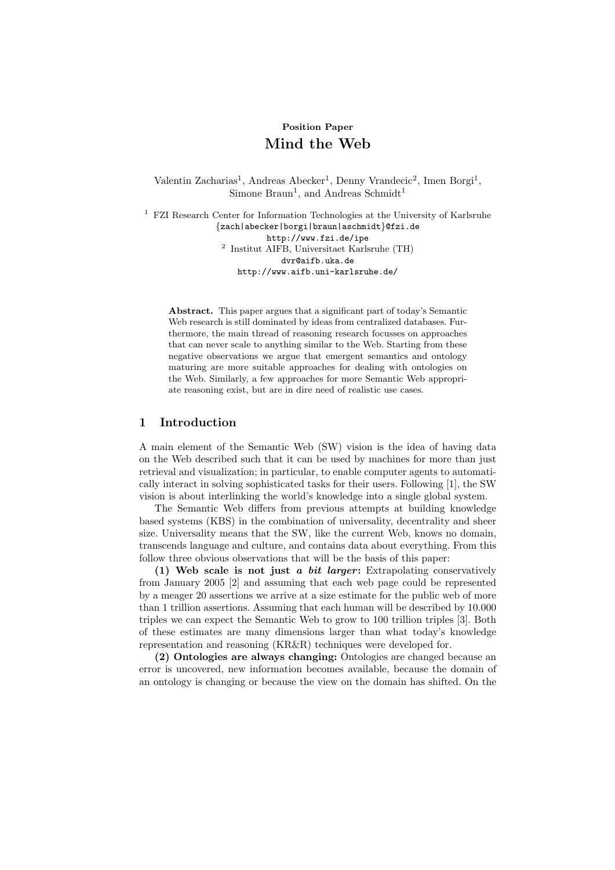# Position Paper Mind the Web

Valentin Zacharias<sup>1</sup>, Andreas Abecker<sup>1</sup>, Denny Vrandecic<sup>2</sup>, Imen Borgi<sup>1</sup>, Simone Braun<sup>1</sup>, and Andreas Schmidt<sup>1</sup>

<sup>1</sup> FZI Research Center for Information Technologies at the University of Karlsruhe {zach|abecker|borgi|braun|aschmidt}@fzi.de http://www.fzi.de/ipe 2 Institut AIFB, Universitaet Karlsruhe (TH) dvr@aifb.uka.de http://www.aifb.uni-karlsruhe.de/

Abstract. This paper argues that a significant part of today's Semantic Web research is still dominated by ideas from centralized databases. Furthermore, the main thread of reasoning research focusses on approaches that can never scale to anything similar to the Web. Starting from these negative observations we argue that emergent semantics and ontology maturing are more suitable approaches for dealing with ontologies on the Web. Similarly, a few approaches for more Semantic Web appropriate reasoning exist, but are in dire need of realistic use cases.

## 1 Introduction

A main element of the Semantic Web (SW) vision is the idea of having data on the Web described such that it can be used by machines for more than just retrieval and visualization; in particular, to enable computer agents to automatically interact in solving sophisticated tasks for their users. Following [1], the SW vision is about interlinking the world's knowledge into a single global system.

The Semantic Web differs from previous attempts at building knowledge based systems (KBS) in the combination of universality, decentrality and sheer size. Universality means that the SW, like the current Web, knows no domain, transcends language and culture, and contains data about everything. From this follow three obvious observations that will be the basis of this paper:

(1) Web scale is not just a bit larger: Extrapolating conservatively from January 2005 [2] and assuming that each web page could be represented by a meager 20 assertions we arrive at a size estimate for the public web of more than 1 trillion assertions. Assuming that each human will be described by 10.000 triples we can expect the Semantic Web to grow to 100 trillion triples [3]. Both of these estimates are many dimensions larger than what today's knowledge representation and reasoning (KR&R) techniques were developed for.

(2) Ontologies are always changing: Ontologies are changed because an error is uncovered, new information becomes available, because the domain of an ontology is changing or because the view on the domain has shifted. On the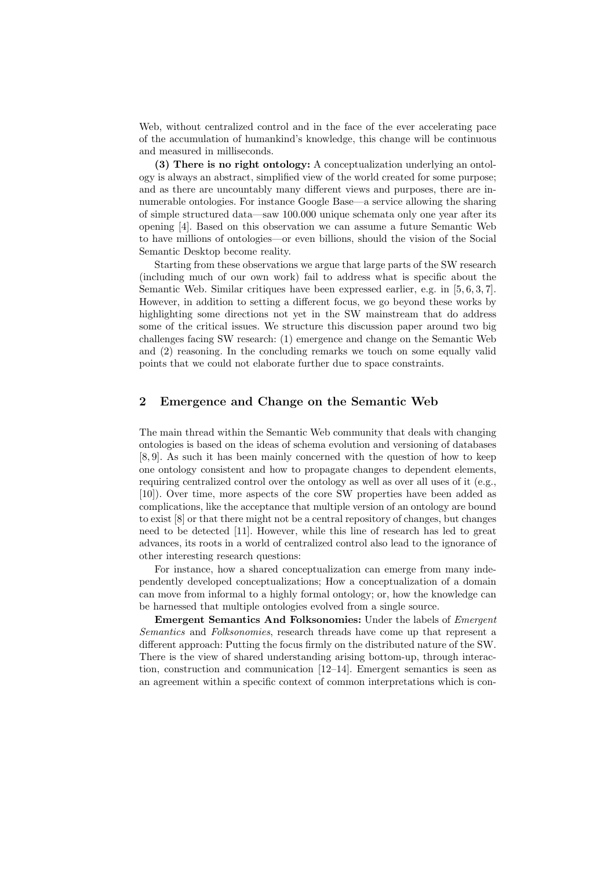Web, without centralized control and in the face of the ever accelerating pace of the accumulation of humankind's knowledge, this change will be continuous and measured in milliseconds.

(3) There is no right ontology: A conceptualization underlying an ontology is always an abstract, simplified view of the world created for some purpose; and as there are uncountably many different views and purposes, there are innumerable ontologies. For instance Google Base—a service allowing the sharing of simple structured data—saw 100.000 unique schemata only one year after its opening [4]. Based on this observation we can assume a future Semantic Web to have millions of ontologies—or even billions, should the vision of the Social Semantic Desktop become reality.

Starting from these observations we argue that large parts of the SW research (including much of our own work) fail to address what is specific about the Semantic Web. Similar critiques have been expressed earlier, e.g. in [5, 6, 3, 7]. However, in addition to setting a different focus, we go beyond these works by highlighting some directions not yet in the SW mainstream that do address some of the critical issues. We structure this discussion paper around two big challenges facing SW research: (1) emergence and change on the Semantic Web and (2) reasoning. In the concluding remarks we touch on some equally valid points that we could not elaborate further due to space constraints.

# 2 Emergence and Change on the Semantic Web

The main thread within the Semantic Web community that deals with changing ontologies is based on the ideas of schema evolution and versioning of databases [8, 9]. As such it has been mainly concerned with the question of how to keep one ontology consistent and how to propagate changes to dependent elements, requiring centralized control over the ontology as well as over all uses of it (e.g., [10]). Over time, more aspects of the core SW properties have been added as complications, like the acceptance that multiple version of an ontology are bound to exist [8] or that there might not be a central repository of changes, but changes need to be detected [11]. However, while this line of research has led to great advances, its roots in a world of centralized control also lead to the ignorance of other interesting research questions:

For instance, how a shared conceptualization can emerge from many independently developed conceptualizations; How a conceptualization of a domain can move from informal to a highly formal ontology; or, how the knowledge can be harnessed that multiple ontologies evolved from a single source.

Emergent Semantics And Folksonomies: Under the labels of Emergent Semantics and Folksonomies, research threads have come up that represent a different approach: Putting the focus firmly on the distributed nature of the SW. There is the view of shared understanding arising bottom-up, through interaction, construction and communication [12–14]. Emergent semantics is seen as an agreement within a specific context of common interpretations which is con-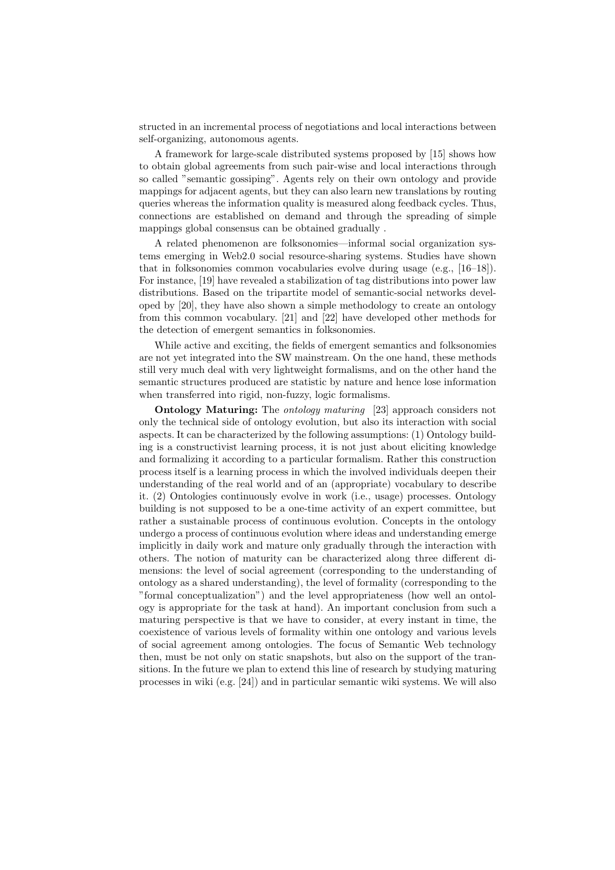structed in an incremental process of negotiations and local interactions between self-organizing, autonomous agents.

A framework for large-scale distributed systems proposed by [15] shows how to obtain global agreements from such pair-wise and local interactions through so called "semantic gossiping". Agents rely on their own ontology and provide mappings for adjacent agents, but they can also learn new translations by routing queries whereas the information quality is measured along feedback cycles. Thus, connections are established on demand and through the spreading of simple mappings global consensus can be obtained gradually .

A related phenomenon are folksonomies—informal social organization systems emerging in Web2.0 social resource-sharing systems. Studies have shown that in folksonomies common vocabularies evolve during usage (e.g., [16–18]). For instance, [19] have revealed a stabilization of tag distributions into power law distributions. Based on the tripartite model of semantic-social networks developed by [20], they have also shown a simple methodology to create an ontology from this common vocabulary. [21] and [22] have developed other methods for the detection of emergent semantics in folksonomies.

While active and exciting, the fields of emergent semantics and folksonomies are not yet integrated into the SW mainstream. On the one hand, these methods still very much deal with very lightweight formalisms, and on the other hand the semantic structures produced are statistic by nature and hence lose information when transferred into rigid, non-fuzzy, logic formalisms.

**Ontology Maturing:** The *ontology maturing* [23] approach considers not only the technical side of ontology evolution, but also its interaction with social aspects. It can be characterized by the following assumptions: (1) Ontology building is a constructivist learning process, it is not just about eliciting knowledge and formalizing it according to a particular formalism. Rather this construction process itself is a learning process in which the involved individuals deepen their understanding of the real world and of an (appropriate) vocabulary to describe it. (2) Ontologies continuously evolve in work (i.e., usage) processes. Ontology building is not supposed to be a one-time activity of an expert committee, but rather a sustainable process of continuous evolution. Concepts in the ontology undergo a process of continuous evolution where ideas and understanding emerge implicitly in daily work and mature only gradually through the interaction with others. The notion of maturity can be characterized along three different dimensions: the level of social agreement (corresponding to the understanding of ontology as a shared understanding), the level of formality (corresponding to the "formal conceptualization") and the level appropriateness (how well an ontology is appropriate for the task at hand). An important conclusion from such a maturing perspective is that we have to consider, at every instant in time, the coexistence of various levels of formality within one ontology and various levels of social agreement among ontologies. The focus of Semantic Web technology then, must be not only on static snapshots, but also on the support of the transitions. In the future we plan to extend this line of research by studying maturing processes in wiki (e.g. [24]) and in particular semantic wiki systems. We will also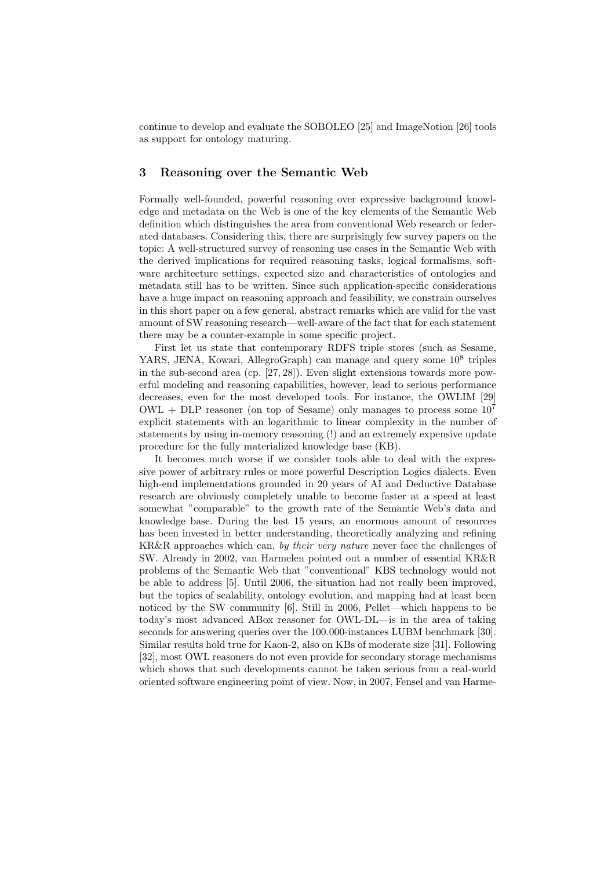continue to develop and evaluate the SOBOLEO [25] and ImageNotion [26] tools as support for ontology maturing.

#### 3 Reasoning over the Semantic Web

Formally well-founded, powerful reasoning over expressive background knowledge and metadata on the Web is one of the key elements of the Semantic Web definition which distinguishes the area from conventional Web research or federated databases. Considering this, there are surprisingly few survey papers on the topic: A well-structured survey of reasoning use cases in the Semantic Web with the derived implications for required reasoning tasks, logical formalisms, software architecture settings, expected size and characteristics of ontologies and metadata still has to be written. Since such application-specific considerations have a huge impact on reasoning approach and feasibility, we constrain ourselves in this short paper on a few general, abstract remarks which are valid for the vast amount of SW reasoning research—well-aware of the fact that for each statement there may be a counter-example in some specific project.

First let us state that contemporary RDFS triple stores (such as Sesame, YARS, JENA, Kowari, AllegroGraph) can manage and query some  $10^8$  triples in the sub-second area (cp. [27, 28]). Even slight extensions towards more powerful modeling and reasoning capabilities, however, lead to serious performance decreases, even for the most developed tools. For instance, the OWLIM [29]  $\rm OWL + DLP$  reasoner (on top of Sesame) only manages to process some  $10^7$ explicit statements with an logarithmic to linear complexity in the number of statements by using in-memory reasoning (!) and an extremely expensive update procedure for the fully materialized knowledge base (KB).

It becomes much worse if we consider tools able to deal with the expressive power of arbitrary rules or more powerful Description Logics dialects. Even high-end implementations grounded in 20 years of AI and Deductive Database research are obviously completely unable to become faster at a speed at least somewhat "comparable" to the growth rate of the Semantic Web's data and knowledge base. During the last 15 years, an enormous amount of resources has been invested in better understanding, theoretically analyzing and refining KR&R approaches which can, by their very nature never face the challenges of SW. Already in 2002, van Harmelen pointed out a number of essential KR&R problems of the Semantic Web that "conventional" KBS technology would not be able to address [5]. Until 2006, the situation had not really been improved, but the topics of scalability, ontology evolution, and mapping had at least been noticed by the SW community [6]. Still in 2006, Pellet—which happens to be today's most advanced ABox reasoner for OWL-DL—is in the area of taking seconds for answering queries over the 100.000-instances LUBM benchmark [30]. Similar results hold true for Kaon-2, also on KBs of moderate size [31]. Following [32], most OWL reasoners do not even provide for secondary storage mechanisms which shows that such developments cannot be taken serious from a real-world oriented software engineering point of view. Now, in 2007, Fensel and van Harme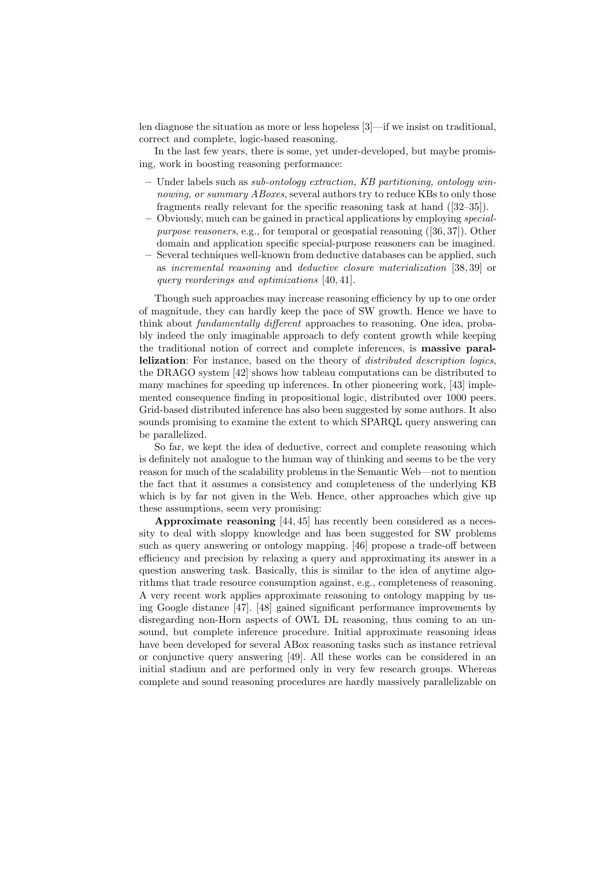len diagnose the situation as more or less hopeless [3]—if we insist on traditional, correct and complete, logic-based reasoning.

In the last few years, there is some, yet under-developed, but maybe promising, work in boosting reasoning performance:

- $-$  Under labels such as *sub-ontology extraction, KB partitioning, ontology win*nowing, or summary ABoxes, several authors try to reduce KBs to only those fragments really relevant for the specific reasoning task at hand ([32–35]).
- Obviously, much can be gained in practical applications by employing specialpurpose reasoners, e.g., for temporal or geospatial reasoning ([36, 37]). Other domain and application specific special-purpose reasoners can be imagined.
- Several techniques well-known from deductive databases can be applied, such as incremental reasoning and deductive closure materialization [38, 39] or query reorderings and optimizations [40, 41].

Though such approaches may increase reasoning efficiency by up to one order of magnitude, they can hardly keep the pace of SW growth. Hence we have to think about fundamentally different approaches to reasoning. One idea, probably indeed the only imaginable approach to defy content growth while keeping the traditional notion of correct and complete inferences, is massive parallelization: For instance, based on the theory of *distributed description logics*, the DRAGO system [42] shows how tableau computations can be distributed to many machines for speeding up inferences. In other pioneering work, [43] implemented consequence finding in propositional logic, distributed over 1000 peers. Grid-based distributed inference has also been suggested by some authors. It also sounds promising to examine the extent to which SPARQL query answering can be parallelized.

So far, we kept the idea of deductive, correct and complete reasoning which is definitely not analogue to the human way of thinking and seems to be the very reason for much of the scalability problems in the Semantic Web—not to mention the fact that it assumes a consistency and completeness of the underlying KB which is by far not given in the Web. Hence, other approaches which give up these assumptions, seem very promising:

Approximate reasoning [44, 45] has recently been considered as a necessity to deal with sloppy knowledge and has been suggested for SW problems such as query answering or ontology mapping. [46] propose a trade-off between efficiency and precision by relaxing a query and approximating its answer in a question answering task. Basically, this is similar to the idea of anytime algorithms that trade resource consumption against, e.g., completeness of reasoning. A very recent work applies approximate reasoning to ontology mapping by using Google distance [47]. [48] gained significant performance improvements by disregarding non-Horn aspects of OWL DL reasoning, thus coming to an unsound, but complete inference procedure. Initial approximate reasoning ideas have been developed for several ABox reasoning tasks such as instance retrieval or conjunctive query answering [49]. All these works can be considered in an initial stadium and are performed only in very few research groups. Whereas complete and sound reasoning procedures are hardly massively parallelizable on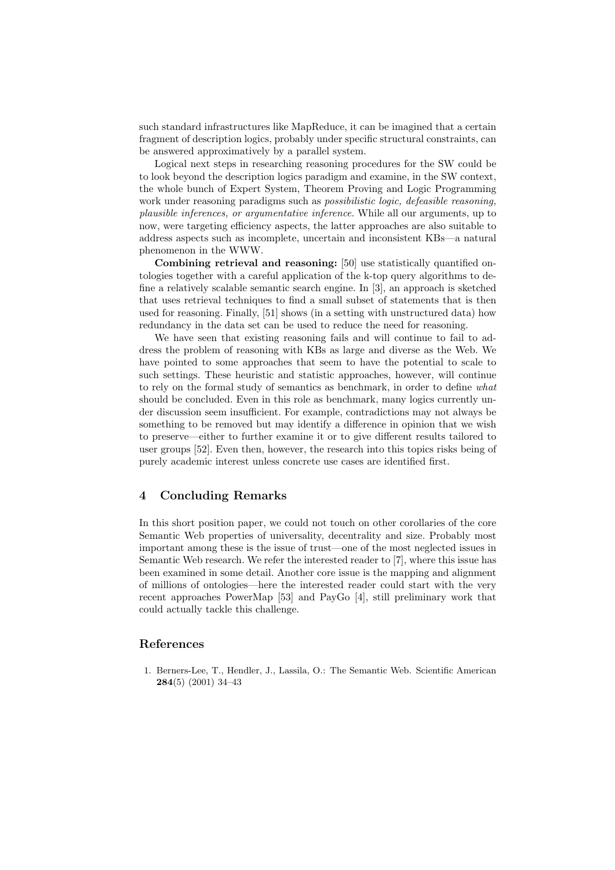such standard infrastructures like MapReduce, it can be imagined that a certain fragment of description logics, probably under specific structural constraints, can be answered approximatively by a parallel system.

Logical next steps in researching reasoning procedures for the SW could be to look beyond the description logics paradigm and examine, in the SW context, the whole bunch of Expert System, Theorem Proving and Logic Programming work under reasoning paradigms such as *possibilistic logic*, *defeasible reasoning*, plausible inferences, or argumentative inference. While all our arguments, up to now, were targeting efficiency aspects, the latter approaches are also suitable to address aspects such as incomplete, uncertain and inconsistent KBs—a natural phenomenon in the WWW.

Combining retrieval and reasoning: [50] use statistically quantified ontologies together with a careful application of the k-top query algorithms to define a relatively scalable semantic search engine. In [3], an approach is sketched that uses retrieval techniques to find a small subset of statements that is then used for reasoning. Finally, [51] shows (in a setting with unstructured data) how redundancy in the data set can be used to reduce the need for reasoning.

We have seen that existing reasoning fails and will continue to fail to address the problem of reasoning with KBs as large and diverse as the Web. We have pointed to some approaches that seem to have the potential to scale to such settings. These heuristic and statistic approaches, however, will continue to rely on the formal study of semantics as benchmark, in order to define what should be concluded. Even in this role as benchmark, many logics currently under discussion seem insufficient. For example, contradictions may not always be something to be removed but may identify a difference in opinion that we wish to preserve—either to further examine it or to give different results tailored to user groups [52]. Even then, however, the research into this topics risks being of purely academic interest unless concrete use cases are identified first.

#### 4 Concluding Remarks

In this short position paper, we could not touch on other corollaries of the core Semantic Web properties of universality, decentrality and size. Probably most important among these is the issue of trust—one of the most neglected issues in Semantic Web research. We refer the interested reader to [7], where this issue has been examined in some detail. Another core issue is the mapping and alignment of millions of ontologies—here the interested reader could start with the very recent approaches PowerMap [53] and PayGo [4], still preliminary work that could actually tackle this challenge.

## References

1. Berners-Lee, T., Hendler, J., Lassila, O.: The Semantic Web. Scientific American 284(5) (2001) 34–43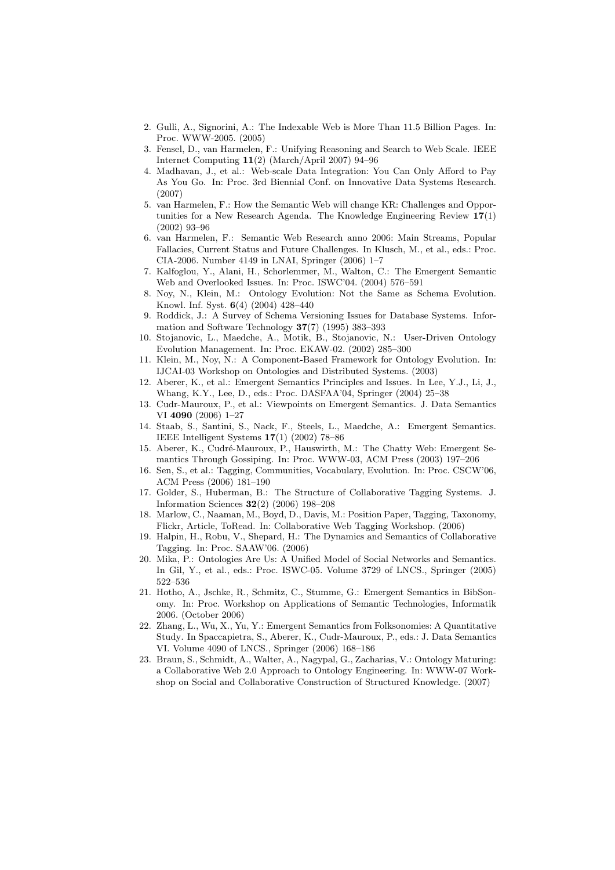- 2. Gulli, A., Signorini, A.: The Indexable Web is More Than 11.5 Billion Pages. In: Proc. WWW-2005. (2005)
- 3. Fensel, D., van Harmelen, F.: Unifying Reasoning and Search to Web Scale. IEEE Internet Computing 11(2) (March/April 2007) 94–96
- 4. Madhavan, J., et al.: Web-scale Data Integration: You Can Only Afford to Pay As You Go. In: Proc. 3rd Biennial Conf. on Innovative Data Systems Research. (2007)
- 5. van Harmelen, F.: How the Semantic Web will change KR: Challenges and Opportunities for a New Research Agenda. The Knowledge Engineering Review  $17(1)$ (2002) 93–96
- 6. van Harmelen, F.: Semantic Web Research anno 2006: Main Streams, Popular Fallacies, Current Status and Future Challenges. In Klusch, M., et al., eds.: Proc. CIA-2006. Number 4149 in LNAI, Springer (2006) 1–7
- 7. Kalfoglou, Y., Alani, H., Schorlemmer, M., Walton, C.: The Emergent Semantic Web and Overlooked Issues. In: Proc. ISWC'04. (2004) 576–591
- 8. Noy, N., Klein, M.: Ontology Evolution: Not the Same as Schema Evolution. Knowl. Inf. Syst. 6(4) (2004) 428–440
- Roddick, J.: A Survey of Schema Versioning Issues for Database Systems. Information and Software Technology 37(7) (1995) 383–393
- 10. Stojanovic, L., Maedche, A., Motik, B., Stojanovic, N.: User-Driven Ontology Evolution Management. In: Proc. EKAW-02. (2002) 285–300
- 11. Klein, M., Noy, N.: A Component-Based Framework for Ontology Evolution. In: IJCAI-03 Workshop on Ontologies and Distributed Systems. (2003)
- 12. Aberer, K., et al.: Emergent Semantics Principles and Issues. In Lee, Y.J., Li, J., Whang, K.Y., Lee, D., eds.: Proc. DASFAA'04, Springer (2004) 25–38
- 13. Cudr-Mauroux, P., et al.: Viewpoints on Emergent Semantics. J. Data Semantics VI 4090 (2006) 1–27
- 14. Staab, S., Santini, S., Nack, F., Steels, L., Maedche, A.: Emergent Semantics. IEEE Intelligent Systems 17(1) (2002) 78–86
- 15. Aberer, K., Cudré-Mauroux, P., Hauswirth, M.: The Chatty Web: Emergent Semantics Through Gossiping. In: Proc. WWW-03, ACM Press (2003) 197–206
- 16. Sen, S., et al.: Tagging, Communities, Vocabulary, Evolution. In: Proc. CSCW'06, ACM Press (2006) 181–190
- 17. Golder, S., Huberman, B.: The Structure of Collaborative Tagging Systems. J. Information Sciences 32(2) (2006) 198–208
- 18. Marlow, C., Naaman, M., Boyd, D., Davis, M.: Position Paper, Tagging, Taxonomy, Flickr, Article, ToRead. In: Collaborative Web Tagging Workshop. (2006)
- 19. Halpin, H., Robu, V., Shepard, H.: The Dynamics and Semantics of Collaborative Tagging. In: Proc. SAAW'06. (2006)
- 20. Mika, P.: Ontologies Are Us: A Unified Model of Social Networks and Semantics. In Gil, Y., et al., eds.: Proc. ISWC-05. Volume 3729 of LNCS., Springer (2005) 522–536
- 21. Hotho, A., Jschke, R., Schmitz, C., Stumme, G.: Emergent Semantics in BibSonomy. In: Proc. Workshop on Applications of Semantic Technologies, Informatik 2006. (October 2006)
- 22. Zhang, L., Wu, X., Yu, Y.: Emergent Semantics from Folksonomies: A Quantitative Study. In Spaccapietra, S., Aberer, K., Cudr-Mauroux, P., eds.: J. Data Semantics VI. Volume 4090 of LNCS., Springer (2006) 168–186
- 23. Braun, S., Schmidt, A., Walter, A., Nagypal, G., Zacharias, V.: Ontology Maturing: a Collaborative Web 2.0 Approach to Ontology Engineering. In: WWW-07 Workshop on Social and Collaborative Construction of Structured Knowledge. (2007)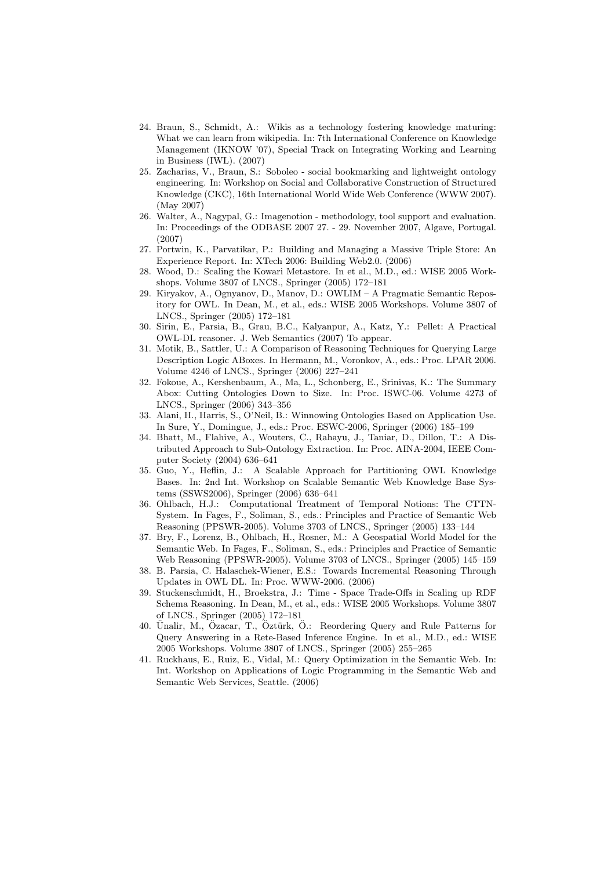- 24. Braun, S., Schmidt, A.: Wikis as a technology fostering knowledge maturing: What we can learn from wikipedia. In: 7th International Conference on Knowledge Management (IKNOW '07), Special Track on Integrating Working and Learning in Business (IWL). (2007)
- 25. Zacharias, V., Braun, S.: Soboleo social bookmarking and lightweight ontology engineering. In: Workshop on Social and Collaborative Construction of Structured Knowledge (CKC), 16th International World Wide Web Conference (WWW 2007). (May 2007)
- 26. Walter, A., Nagypal, G.: Imagenotion methodology, tool support and evaluation. In: Proceedings of the ODBASE 2007 27. - 29. November 2007, Algave, Portugal. (2007)
- 27. Portwin, K., Parvatikar, P.: Building and Managing a Massive Triple Store: An Experience Report. In: XTech 2006: Building Web2.0. (2006)
- 28. Wood, D.: Scaling the Kowari Metastore. In et al., M.D., ed.: WISE 2005 Workshops. Volume 3807 of LNCS., Springer (2005) 172–181
- 29. Kiryakov, A., Ognyanov, D., Manov, D.: OWLIM A Pragmatic Semantic Repository for OWL. In Dean, M., et al., eds.: WISE 2005 Workshops. Volume 3807 of LNCS., Springer (2005) 172–181
- 30. Sirin, E., Parsia, B., Grau, B.C., Kalyanpur, A., Katz, Y.: Pellet: A Practical OWL-DL reasoner. J. Web Semantics (2007) To appear.
- 31. Motik, B., Sattler, U.: A Comparison of Reasoning Techniques for Querying Large Description Logic ABoxes. In Hermann, M., Voronkov, A., eds.: Proc. LPAR 2006. Volume 4246 of LNCS., Springer (2006) 227–241
- 32. Fokoue, A., Kershenbaum, A., Ma, L., Schonberg, E., Srinivas, K.: The Summary Abox: Cutting Ontologies Down to Size. In: Proc. ISWC-06. Volume 4273 of LNCS., Springer (2006) 343–356
- 33. Alani, H., Harris, S., O'Neil, B.: Winnowing Ontologies Based on Application Use. In Sure, Y., Domingue, J., eds.: Proc. ESWC-2006, Springer (2006) 185–199
- 34. Bhatt, M., Flahive, A., Wouters, C., Rahayu, J., Taniar, D., Dillon, T.: A Distributed Approach to Sub-Ontology Extraction. In: Proc. AINA-2004, IEEE Computer Society (2004) 636–641
- 35. Guo, Y., Heflin, J.: A Scalable Approach for Partitioning OWL Knowledge Bases. In: 2nd Int. Workshop on Scalable Semantic Web Knowledge Base Systems (SSWS2006), Springer (2006) 636–641
- 36. Ohlbach, H.J.: Computational Treatment of Temporal Notions: The CTTN-System. In Fages, F., Soliman, S., eds.: Principles and Practice of Semantic Web Reasoning (PPSWR-2005). Volume 3703 of LNCS., Springer (2005) 133–144
- 37. Bry, F., Lorenz, B., Ohlbach, H., Rosner, M.: A Geospatial World Model for the Semantic Web. In Fages, F., Soliman, S., eds.: Principles and Practice of Semantic Web Reasoning (PPSWR-2005). Volume 3703 of LNCS., Springer (2005) 145–159
- 38. B. Parsia, C. Halaschek-Wiener, E.S.: Towards Incremental Reasoning Through Updates in OWL DL. In: Proc. WWW-2006. (2006)
- 39. Stuckenschmidt, H., Broekstra, J.: Time Space Trade-Offs in Scaling up RDF Schema Reasoning. In Dean, M., et al., eds.: WISE 2005 Workshops. Volume 3807 of LNCS., Springer (2005) 172–181
- 40. Ünalir, M., Özacar, T., Öztürk, Ö.: Reordering Query and Rule Patterns for Query Answering in a Rete-Based Inference Engine. In et al., M.D., ed.: WISE 2005 Workshops. Volume 3807 of LNCS., Springer (2005) 255–265
- 41. Ruckhaus, E., Ruiz, E., Vidal, M.: Query Optimization in the Semantic Web. In: Int. Workshop on Applications of Logic Programming in the Semantic Web and Semantic Web Services, Seattle. (2006)